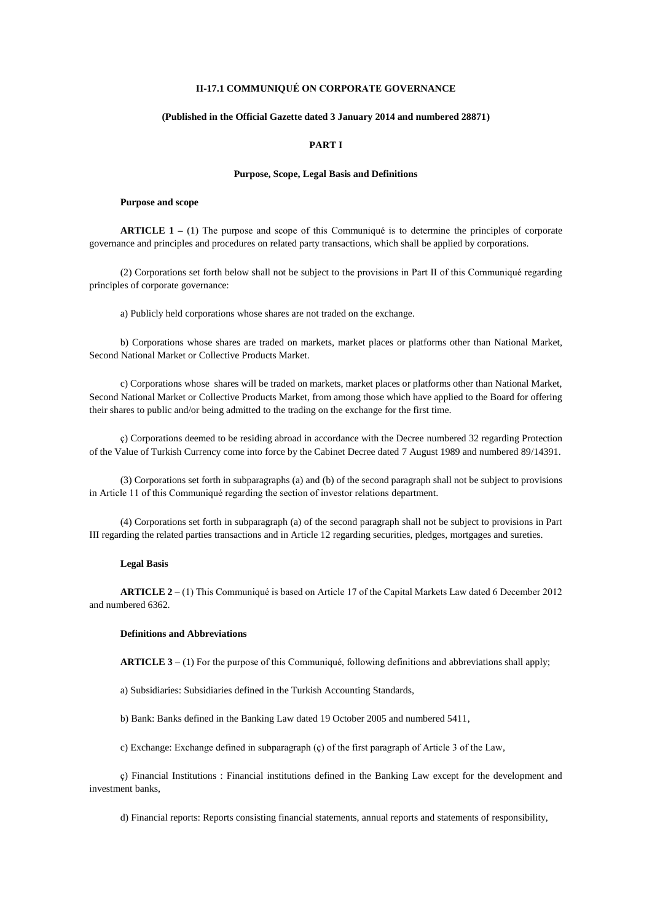## **II-17.1 COMMUNIQUÉ ON CORPORATE GOVERNANCE**

### **(Published in the Official Gazette dated 3 January 2014 and numbered 28871)**

## **PART I**

## **Purpose, Scope, Legal Basis and Definitions**

#### **Purpose and scope**

**ARTICLE 1 –** (1) The purpose and scope of this Communiqué is to determine the principles of corporate governance and principles and procedures on related party transactions, which shall be applied by corporations.

(2) Corporations set forth below shall not be subject to the provisions in Part II of this Communiqué regarding principles of corporate governance:

a) Publicly held corporations whose shares are not traded on the exchange.

b) Corporations whose shares are traded on markets, market places or platforms other than National Market, Second National Market or Collective Products Market.

c) Corporations whose shares will be traded on markets, market places or platforms other than National Market, Second National Market or Collective Products Market, from among those which have applied to the Board for offering their shares to public and/or being admitted to the trading on the exchange for the first time.

ç) Corporations deemed to be residing abroad in accordance with the Decree numbered 32 regarding Protection of the Value of Turkish Currency come into force by the Cabinet Decree dated 7 August 1989 and numbered 89/14391.

(3) Corporations set forth in subparagraphs (a) and (b) of the second paragraph shall not be subject to provisions in Article 11 of this Communiqué regarding the section of investor relations department.

(4) Corporations set forth in subparagraph (a) of the second paragraph shall not be subject to provisions in Part III regarding the related parties transactions and in Article 12 regarding securities, pledges, mortgages and sureties.

### **Legal Basis**

**ARTICLE 2 –** (1) This Communiqué is based on Article 17 of the Capital Markets Law dated 6 December 2012 and numbered 6362.

### **Definitions and Abbreviations**

**ARTICLE 3 –** (1) For the purpose of this Communiqué, following definitions and abbreviations shall apply;

a) Subsidiaries: Subsidiaries defined in the Turkish Accounting Standards,

b) Bank: Banks defined in the Banking Law dated 19 October 2005 and numbered 5411,

c) Exchange: Exchange defined in subparagraph (ç) of the first paragraph of Article 3 of the Law,

ç) Financial Institutions : Financial institutions defined in the Banking Law except for the development and investment banks,

d) Financial reports: Reports consisting financial statements, annual reports and statements of responsibility,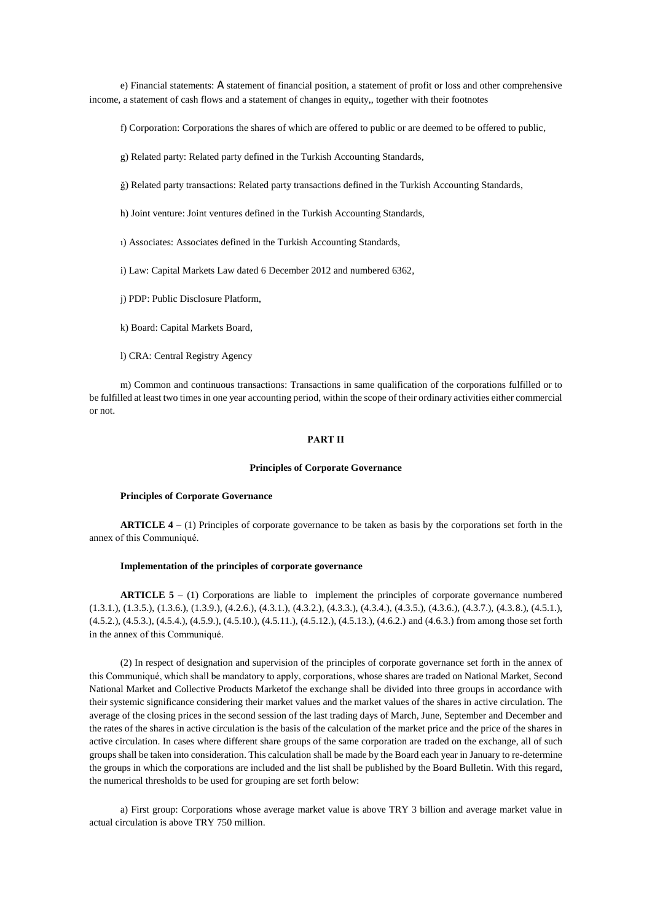e) Financial statements: A statement of financial position, a statement of profit or loss and other comprehensive income, a statement of cash flows and a statement of changes in equity,, together with their footnotes

f) Corporation: Corporations the shares of which are offered to public or are deemed to be offered to public,

g) Related party: Related party defined in the Turkish Accounting Standards,

ğ) Related party transactions: Related party transactions defined in the Turkish Accounting Standards,

h) Joint venture: Joint ventures defined in the Turkish Accounting Standards,

ı) Associates: Associates defined in the Turkish Accounting Standards,

i) Law: Capital Markets Law dated 6 December 2012 and numbered 6362,

j) PDP: Public Disclosure Platform,

k) Board: Capital Markets Board,

l) CRA: Central Registry Agency

m) Common and continuous transactions: Transactions in same qualification of the corporations fulfilled or to be fulfilled at least two times in one year accounting period, within the scope of their ordinary activities either commercial or not.

### **PART II**

### **Principles of Corporate Governance**

## **Principles of Corporate Governance**

**ARTICLE 4 –** (1) Principles of corporate governance to be taken as basis by the corporations set forth in the annex of this Communiqué.

#### **Implementation of the principles of corporate governance**

**ARTICLE 5 –** (1) Corporations are liable to implement the principles of corporate governance numbered (1.3.1.), (1.3.5.), (1.3.6.), (1.3.9.), (4.2.6.), (4.3.1.), (4.3.2.), (4.3.3.), (4.3.4.), (4.3.5.), (4.3.6.), (4.3.7.), (4.3.8.), (4.5.1.), (4.5.2.), (4.5.3.), (4.5.4.), (4.5.9.), (4.5.10.), (4.5.11.), (4.5.12.), (4.5.13.), (4.6.2.) and (4.6.3.) from among those set forth in the annex of this Communiqué.

(2) In respect of designation and supervision of the principles of corporate governance set forth in the annex of this Communiqué, which shall be mandatory to apply, corporations, whose shares are traded on National Market, Second National Market and Collective Products Marketof the exchange shall be divided into three groups in accordance with their systemic significance considering their market values and the market values of the shares in active circulation. The average of the closing prices in the second session of the last trading days of March, June, September and December and the rates of the shares in active circulation is the basis of the calculation of the market price and the price of the shares in active circulation. In cases where different share groups of the same corporation are traded on the exchange, all of such groups shall be taken into consideration. This calculation shall be made by the Board each year in January to re-determine the groups in which the corporations are included and the list shall be published by the Board Bulletin. With this regard, the numerical thresholds to be used for grouping are set forth below:

a) First group: Corporations whose average market value is above TRY 3 billion and average market value in actual circulation is above TRY 750 million.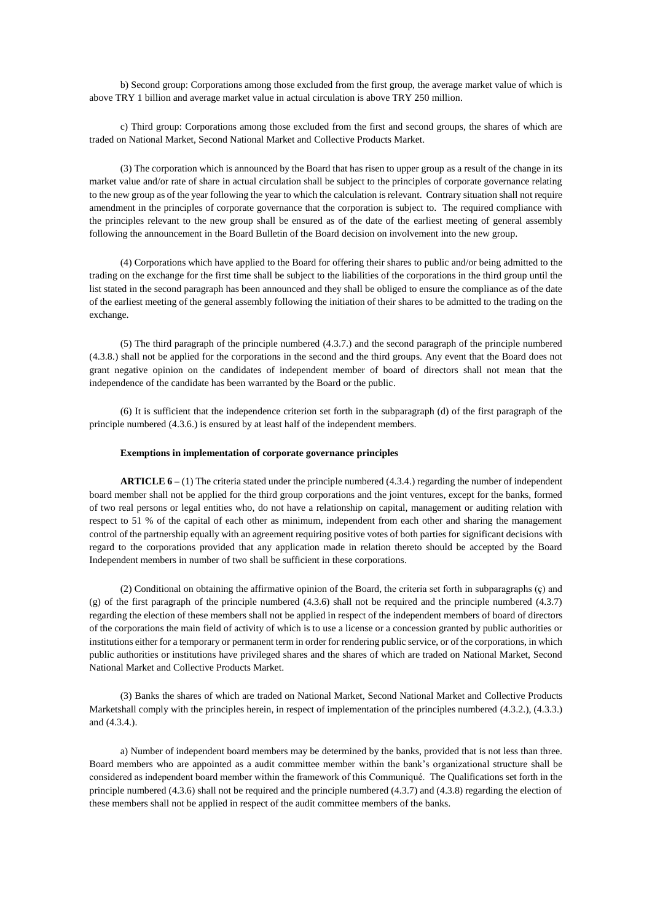b) Second group: Corporations among those excluded from the first group, the average market value of which is above TRY 1 billion and average market value in actual circulation is above TRY 250 million.

c) Third group: Corporations among those excluded from the first and second groups, the shares of which are traded on National Market, Second National Market and Collective Products Market.

(3) The corporation which is announced by the Board that has risen to upper group as a result of the change in its market value and/or rate of share in actual circulation shall be subject to the principles of corporate governance relating to the new group as of the year following the year to which the calculation is relevant. Contrary situation shall not require amendment in the principles of corporate governance that the corporation is subject to. The required compliance with the principles relevant to the new group shall be ensured as of the date of the earliest meeting of general assembly following the announcement in the Board Bulletin of the Board decision on involvement into the new group.

(4) Corporations which have applied to the Board for offering their shares to public and/or being admitted to the trading on the exchange for the first time shall be subject to the liabilities of the corporations in the third group until the list stated in the second paragraph has been announced and they shall be obliged to ensure the compliance as of the date of the earliest meeting of the general assembly following the initiation of their shares to be admitted to the trading on the exchange.

(5) The third paragraph of the principle numbered (4.3.7.) and the second paragraph of the principle numbered (4.3.8.) shall not be applied for the corporations in the second and the third groups. Any event that the Board does not grant negative opinion on the candidates of independent member of board of directors shall not mean that the independence of the candidate has been warranted by the Board or the public.

(6) It is sufficient that the independence criterion set forth in the subparagraph (d) of the first paragraph of the principle numbered (4.3.6.) is ensured by at least half of the independent members.

#### **Exemptions in implementation of corporate governance principles**

**ARTICLE 6 –** (1) The criteria stated under the principle numbered (4.3.4.) regarding the number of independent board member shall not be applied for the third group corporations and the joint ventures, except for the banks, formed of two real persons or legal entities who, do not have a relationship on capital, management or auditing relation with respect to 51 % of the capital of each other as minimum, independent from each other and sharing the management control of the partnership equally with an agreement requiring positive votes of both parties for significant decisions with regard to the corporations provided that any application made in relation thereto should be accepted by the Board Independent members in number of two shall be sufficient in these corporations.

(2) Conditional on obtaining the affirmative opinion of the Board, the criteria set forth in subparagraphs (ç) and (g) of the first paragraph of the principle numbered (4.3.6) shall not be required and the principle numbered (4.3.7) regarding the election of these members shall not be applied in respect of the independent members of board of directors of the corporations the main field of activity of which is to use a license or a concession granted by public authorities or institutions either for a temporary or permanent term in order for rendering public service, or of the corporations, in which public authorities or institutions have privileged shares and the shares of which are traded on National Market, Second National Market and Collective Products Market.

(3) Banks the shares of which are traded on National Market, Second National Market and Collective Products Marketshall comply with the principles herein, in respect of implementation of the principles numbered (4.3.2.), (4.3.3.) and (4.3.4.).

a) Number of independent board members may be determined by the banks, provided that is not less than three. Board members who are appointed as a audit committee member within the bank's organizational structure shall be considered as independent board member within the framework of this Communiqué. The Qualifications set forth in the principle numbered (4.3.6) shall not be required and the principle numbered (4.3.7) and (4.3.8) regarding the election of these members shall not be applied in respect of the audit committee members of the banks.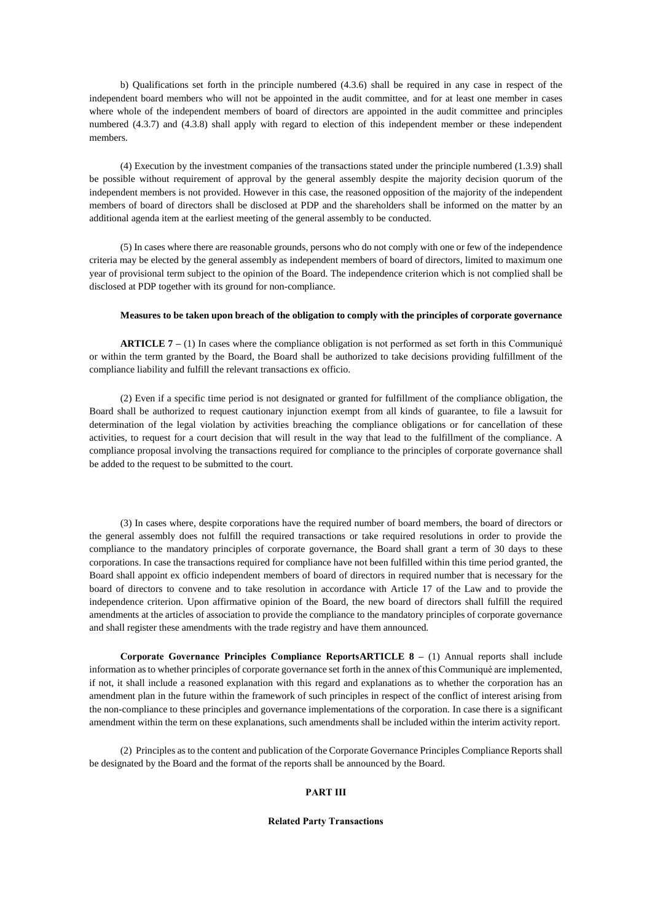b) Qualifications set forth in the principle numbered (4.3.6) shall be required in any case in respect of the independent board members who will not be appointed in the audit committee, and for at least one member in cases where whole of the independent members of board of directors are appointed in the audit committee and principles numbered (4.3.7) and (4.3.8) shall apply with regard to election of this independent member or these independent members.

(4) Execution by the investment companies of the transactions stated under the principle numbered (1.3.9) shall be possible without requirement of approval by the general assembly despite the majority decision quorum of the independent members is not provided. However in this case, the reasoned opposition of the majority of the independent members of board of directors shall be disclosed at PDP and the shareholders shall be informed on the matter by an additional agenda item at the earliest meeting of the general assembly to be conducted.

(5) In cases where there are reasonable grounds, persons who do not comply with one or few of the independence criteria may be elected by the general assembly as independent members of board of directors, limited to maximum one year of provisional term subject to the opinion of the Board. The independence criterion which is not complied shall be disclosed at PDP together with its ground for non-compliance.

### **Measures to be taken upon breach of the obligation to comply with the principles of corporate governance**

**ARTICLE 7** – (1) In cases where the compliance obligation is not performed as set forth in this Communiqué or within the term granted by the Board, the Board shall be authorized to take decisions providing fulfillment of the compliance liability and fulfill the relevant transactions ex officio.

(2) Even if a specific time period is not designated or granted for fulfillment of the compliance obligation, the Board shall be authorized to request cautionary injunction exempt from all kinds of guarantee, to file a lawsuit for determination of the legal violation by activities breaching the compliance obligations or for cancellation of these activities, to request for a court decision that will result in the way that lead to the fulfillment of the compliance. A compliance proposal involving the transactions required for compliance to the principles of corporate governance shall be added to the request to be submitted to the court.

(3) In cases where, despite corporations have the required number of board members, the board of directors or the general assembly does not fulfill the required transactions or take required resolutions in order to provide the compliance to the mandatory principles of corporate governance, the Board shall grant a term of 30 days to these corporations. In case the transactions required for compliance have not been fulfilled within this time period granted, the Board shall appoint ex officio independent members of board of directors in required number that is necessary for the board of directors to convene and to take resolution in accordance with Article 17 of the Law and to provide the independence criterion. Upon affirmative opinion of the Board, the new board of directors shall fulfill the required amendments at the articles of association to provide the compliance to the mandatory principles of corporate governance and shall register these amendments with the trade registry and have them announced.

**Corporate Governance Principles Compliance ReportsARTICLE 8 –** (1) Annual reports shall include information as to whether principles of corporate governance set forth in the annex of this Communiqué are implemented, if not, it shall include a reasoned explanation with this regard and explanations as to whether the corporation has an amendment plan in the future within the framework of such principles in respect of the conflict of interest arising from the non-compliance to these principles and governance implementations of the corporation. In case there is a significant amendment within the term on these explanations, such amendments shall be included within the interim activity report.

(2) Principles as to the content and publication of the Corporate Governance Principles Compliance Reports shall be designated by the Board and the format of the reports shall be announced by the Board.

### **PART III**

### **Related Party Transactions**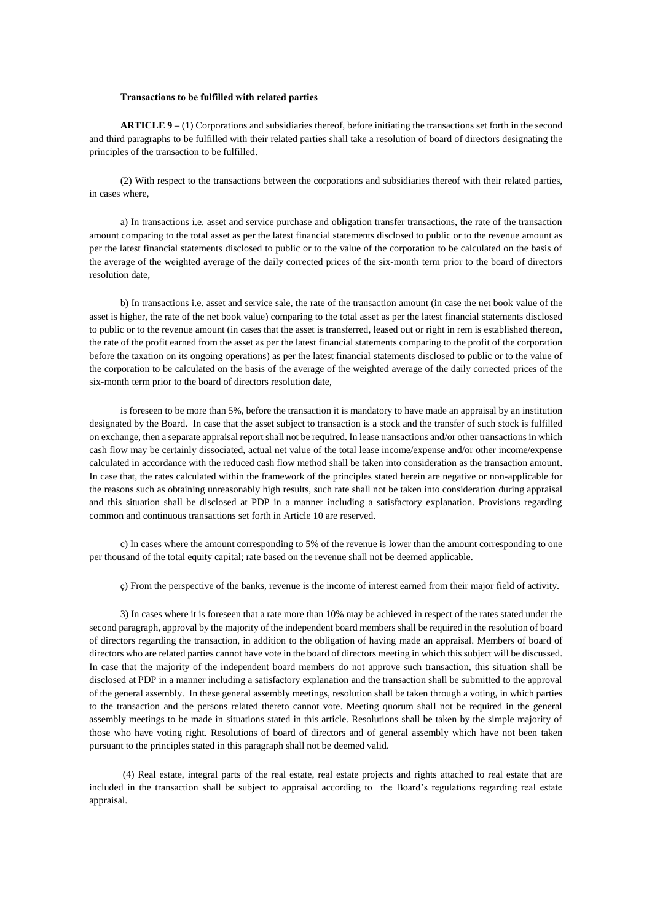#### **Transactions to be fulfilled with related parties**

**ARTICLE 9 –** (1) Corporations and subsidiaries thereof, before initiating the transactions set forth in the second and third paragraphs to be fulfilled with their related parties shall take a resolution of board of directors designating the principles of the transaction to be fulfilled.

(2) With respect to the transactions between the corporations and subsidiaries thereof with their related parties, in cases where,

a) In transactions i.e. asset and service purchase and obligation transfer transactions, the rate of the transaction amount comparing to the total asset as per the latest financial statements disclosed to public or to the revenue amount as per the latest financial statements disclosed to public or to the value of the corporation to be calculated on the basis of the average of the weighted average of the daily corrected prices of the six-month term prior to the board of directors resolution date,

b) In transactions i.e. asset and service sale, the rate of the transaction amount (in case the net book value of the asset is higher, the rate of the net book value) comparing to the total asset as per the latest financial statements disclosed to public or to the revenue amount (in cases that the asset is transferred, leased out or right in rem is established thereon, the rate of the profit earned from the asset as per the latest financial statements comparing to the profit of the corporation before the taxation on its ongoing operations) as per the latest financial statements disclosed to public or to the value of the corporation to be calculated on the basis of the average of the weighted average of the daily corrected prices of the six-month term prior to the board of directors resolution date,

is foreseen to be more than 5%, before the transaction it is mandatory to have made an appraisal by an institution designated by the Board. In case that the asset subject to transaction is a stock and the transfer of such stock is fulfilled on exchange, then a separate appraisal report shall not be required. In lease transactions and/or other transactions in which cash flow may be certainly dissociated, actual net value of the total lease income/expense and/or other income/expense calculated in accordance with the reduced cash flow method shall be taken into consideration as the transaction amount. In case that, the rates calculated within the framework of the principles stated herein are negative or non-applicable for the reasons such as obtaining unreasonably high results, such rate shall not be taken into consideration during appraisal and this situation shall be disclosed at PDP in a manner including a satisfactory explanation. Provisions regarding common and continuous transactions set forth in Article 10 are reserved.

c) In cases where the amount corresponding to 5% of the revenue is lower than the amount corresponding to one per thousand of the total equity capital; rate based on the revenue shall not be deemed applicable.

ç) From the perspective of the banks, revenue is the income of interest earned from their major field of activity.

3) In cases where it is foreseen that a rate more than 10% may be achieved in respect of the rates stated under the second paragraph, approval by the majority of the independent board members shall be required in the resolution of board of directors regarding the transaction, in addition to the obligation of having made an appraisal. Members of board of directors who are related parties cannot have vote in the board of directors meeting in which this subject will be discussed. In case that the majority of the independent board members do not approve such transaction, this situation shall be disclosed at PDP in a manner including a satisfactory explanation and the transaction shall be submitted to the approval of the general assembly. In these general assembly meetings, resolution shall be taken through a voting, in which parties to the transaction and the persons related thereto cannot vote. Meeting quorum shall not be required in the general assembly meetings to be made in situations stated in this article. Resolutions shall be taken by the simple majority of those who have voting right. Resolutions of board of directors and of general assembly which have not been taken pursuant to the principles stated in this paragraph shall not be deemed valid.

(4) Real estate, integral parts of the real estate, real estate projects and rights attached to real estate that are included in the transaction shall be subject to appraisal according to the Board's regulations regarding real estate appraisal.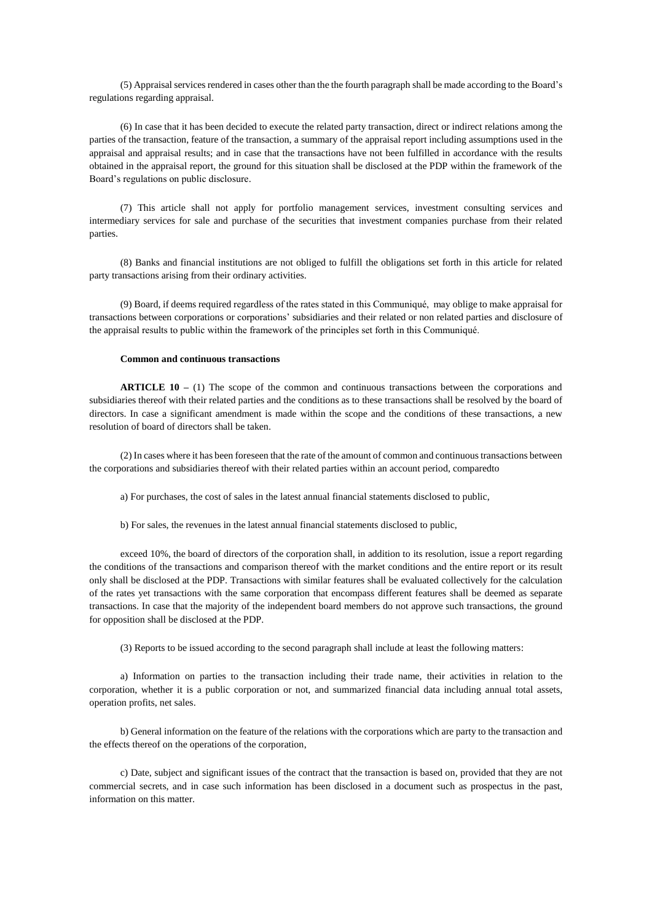(5) Appraisal services rendered in cases other than the the fourth paragraph shall be made according to the Board's regulations regarding appraisal.

(6) In case that it has been decided to execute the related party transaction, direct or indirect relations among the parties of the transaction, feature of the transaction, a summary of the appraisal report including assumptions used in the appraisal and appraisal results; and in case that the transactions have not been fulfilled in accordance with the results obtained in the appraisal report, the ground for this situation shall be disclosed at the PDP within the framework of the Board's regulations on public disclosure.

(7) This article shall not apply for portfolio management services, investment consulting services and intermediary services for sale and purchase of the securities that investment companies purchase from their related parties.

(8) Banks and financial institutions are not obliged to fulfill the obligations set forth in this article for related party transactions arising from their ordinary activities.

(9) Board, if deems required regardless of the rates stated in this Communiqué, may oblige to make appraisal for transactions between corporations or corporations' subsidiaries and their related or non related parties and disclosure of the appraisal results to public within the framework of the principles set forth in this Communiqué.

### **Common and continuous transactions**

**ARTICLE 10 –** (1) The scope of the common and continuous transactions between the corporations and subsidiaries thereof with their related parties and the conditions as to these transactions shall be resolved by the board of directors. In case a significant amendment is made within the scope and the conditions of these transactions, a new resolution of board of directors shall be taken.

(2) In cases where it has been foreseen that the rate of the amount of common and continuous transactions between the corporations and subsidiaries thereof with their related parties within an account period, comparedto

a) For purchases, the cost of sales in the latest annual financial statements disclosed to public,

b) For sales, the revenues in the latest annual financial statements disclosed to public,

exceed 10%, the board of directors of the corporation shall, in addition to its resolution, issue a report regarding the conditions of the transactions and comparison thereof with the market conditions and the entire report or its result only shall be disclosed at the PDP. Transactions with similar features shall be evaluated collectively for the calculation of the rates yet transactions with the same corporation that encompass different features shall be deemed as separate transactions. In case that the majority of the independent board members do not approve such transactions, the ground for opposition shall be disclosed at the PDP.

(3) Reports to be issued according to the second paragraph shall include at least the following matters:

a) Information on parties to the transaction including their trade name, their activities in relation to the corporation, whether it is a public corporation or not, and summarized financial data including annual total assets, operation profits, net sales.

b) General information on the feature of the relations with the corporations which are party to the transaction and the effects thereof on the operations of the corporation,

c) Date, subject and significant issues of the contract that the transaction is based on, provided that they are not commercial secrets, and in case such information has been disclosed in a document such as prospectus in the past, information on this matter.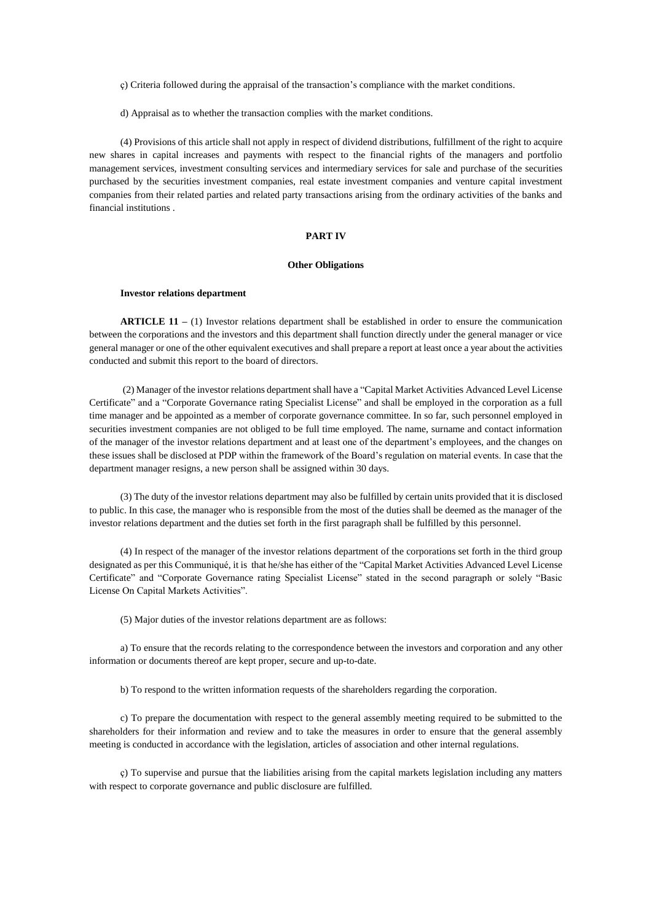ç) Criteria followed during the appraisal of the transaction's compliance with the market conditions.

d) Appraisal as to whether the transaction complies with the market conditions.

(4) Provisions of this article shall not apply in respect of dividend distributions, fulfillment of the right to acquire new shares in capital increases and payments with respect to the financial rights of the managers and portfolio management services, investment consulting services and intermediary services for sale and purchase of the securities purchased by the securities investment companies, real estate investment companies and venture capital investment companies from their related parties and related party transactions arising from the ordinary activities of the banks and financial institutions .

## **PART IV**

### **Other Obligations**

### **Investor relations department**

**ARTICLE 11 –** (1) Investor relations department shall be established in order to ensure the communication between the corporations and the investors and this department shall function directly under the general manager or vice general manager or one of the other equivalent executives and shall prepare a report at least once a year about the activities conducted and submit this report to the board of directors.

(2) Manager of the investor relations department shall have a "Capital Market Activities Advanced Level License Certificate" and a "Corporate Governance rating Specialist License" and shall be employed in the corporation as a full time manager and be appointed as a member of corporate governance committee. In so far, such personnel employed in securities investment companies are not obliged to be full time employed. The name, surname and contact information of the manager of the investor relations department and at least one of the department's employees, and the changes on these issues shall be disclosed at PDP within the framework of the Board's regulation on material events. In case that the department manager resigns, a new person shall be assigned within 30 days.

(3) The duty of the investor relations department may also be fulfilled by certain units provided that it is disclosed to public. In this case, the manager who is responsible from the most of the duties shall be deemed as the manager of the investor relations department and the duties set forth in the first paragraph shall be fulfilled by this personnel.

(4) In respect of the manager of the investor relations department of the corporations set forth in the third group designated as per this Communiqué, it is that he/she has either of the "Capital Market Activities Advanced Level License Certificate" and "Corporate Governance rating Specialist License" stated in the second paragraph or solely "Basic License On Capital Markets Activities".

(5) Major duties of the investor relations department are as follows:

a) To ensure that the records relating to the correspondence between the investors and corporation and any other information or documents thereof are kept proper, secure and up-to-date.

b) To respond to the written information requests of the shareholders regarding the corporation.

c) To prepare the documentation with respect to the general assembly meeting required to be submitted to the shareholders for their information and review and to take the measures in order to ensure that the general assembly meeting is conducted in accordance with the legislation, articles of association and other internal regulations.

ç) To supervise and pursue that the liabilities arising from the capital markets legislation including any matters with respect to corporate governance and public disclosure are fulfilled.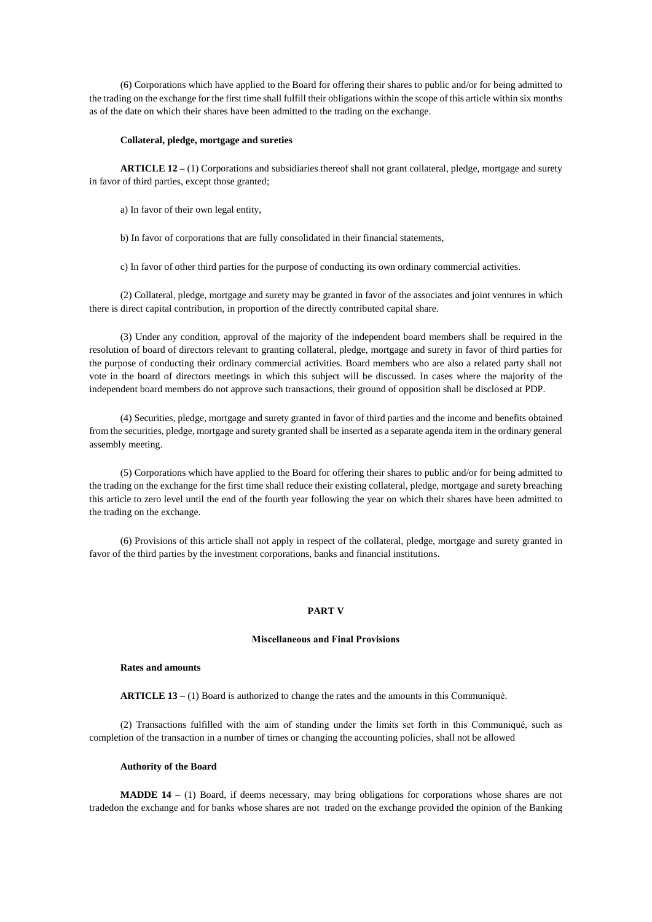(6) Corporations which have applied to the Board for offering their shares to public and/or for being admitted to the trading on the exchange for the first time shall fulfill their obligations within the scope of this article within six months as of the date on which their shares have been admitted to the trading on the exchange.

### **Collateral, pledge, mortgage and sureties**

**ARTICLE 12 –** (1) Corporations and subsidiaries thereof shall not grant collateral, pledge, mortgage and surety in favor of third parties, except those granted;

- a) In favor of their own legal entity,
- b) In favor of corporations that are fully consolidated in their financial statements,

c) In favor of other third parties for the purpose of conducting its own ordinary commercial activities.

(2) Collateral, pledge, mortgage and surety may be granted in favor of the associates and joint ventures in which there is direct capital contribution, in proportion of the directly contributed capital share.

(3) Under any condition, approval of the majority of the independent board members shall be required in the resolution of board of directors relevant to granting collateral, pledge, mortgage and surety in favor of third parties for the purpose of conducting their ordinary commercial activities. Board members who are also a related party shall not vote in the board of directors meetings in which this subject will be discussed. In cases where the majority of the independent board members do not approve such transactions, their ground of opposition shall be disclosed at PDP.

(4) Securities, pledge, mortgage and surety granted in favor of third parties and the income and benefits obtained from the securities, pledge, mortgage and surety granted shall be inserted as a separate agenda item in the ordinary general assembly meeting.

(5) Corporations which have applied to the Board for offering their shares to public and/or for being admitted to the trading on the exchange for the first time shall reduce their existing collateral, pledge, mortgage and surety breaching this article to zero level until the end of the fourth year following the year on which their shares have been admitted to the trading on the exchange.

(6) Provisions of this article shall not apply in respect of the collateral, pledge, mortgage and surety granted in favor of the third parties by the investment corporations, banks and financial institutions.

### **PART V**

## **Miscellaneous and Final Provisions**

# **Rates and amounts**

**ARTICLE 13 –** (1) Board is authorized to change the rates and the amounts in this Communiqué.

(2) Transactions fulfilled with the aim of standing under the limits set forth in this Communiqué, such as completion of the transaction in a number of times or changing the accounting policies, shall not be allowed

## **Authority of the Board**

**MADDE 14** – (1) Board, if deems necessary, may bring obligations for corporations whose shares are not tradedon the exchange and for banks whose shares are not traded on the exchange provided the opinion of the Banking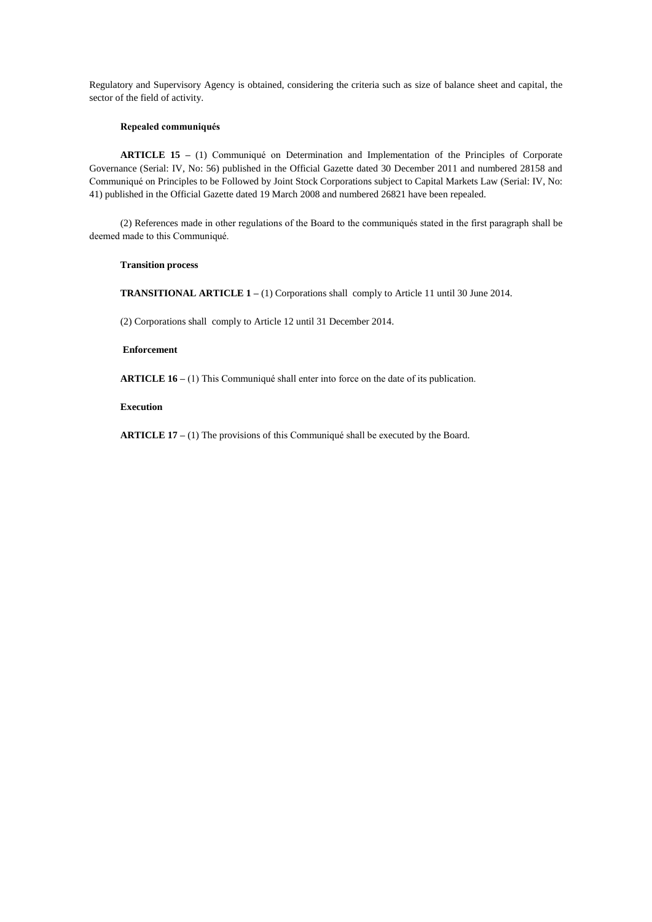Regulatory and Supervisory Agency is obtained, considering the criteria such as size of balance sheet and capital, the sector of the field of activity.

## **Repealed communiqués**

**ARTICLE 15 –** (1) Communiqué on Determination and Implementation of the Principles of Corporate Governance (Serial: IV, No: 56) published in the Official Gazette dated 30 December 2011 and numbered 28158 and Communiqué on Principles to be Followed by Joint Stock Corporations subject to Capital Markets Law (Serial: IV, No: 41) published in the Official Gazette dated 19 March 2008 and numbered 26821 have been repealed.

(2) References made in other regulations of the Board to the communiqués stated in the first paragraph shall be deemed made to this Communiqué.

## **Transition process**

**TRANSITIONAL ARTICLE 1 –** (1) Corporations shall comply to Article 11 until 30 June 2014.

(2) Corporations shall comply to Article 12 until 31 December 2014.

### **Enforcement**

**ARTICLE 16 –** (1) This Communiqué shall enter into force on the date of its publication.

## **Execution**

**ARTICLE 17 –** (1) The provisions of this Communiqué shall be executed by the Board.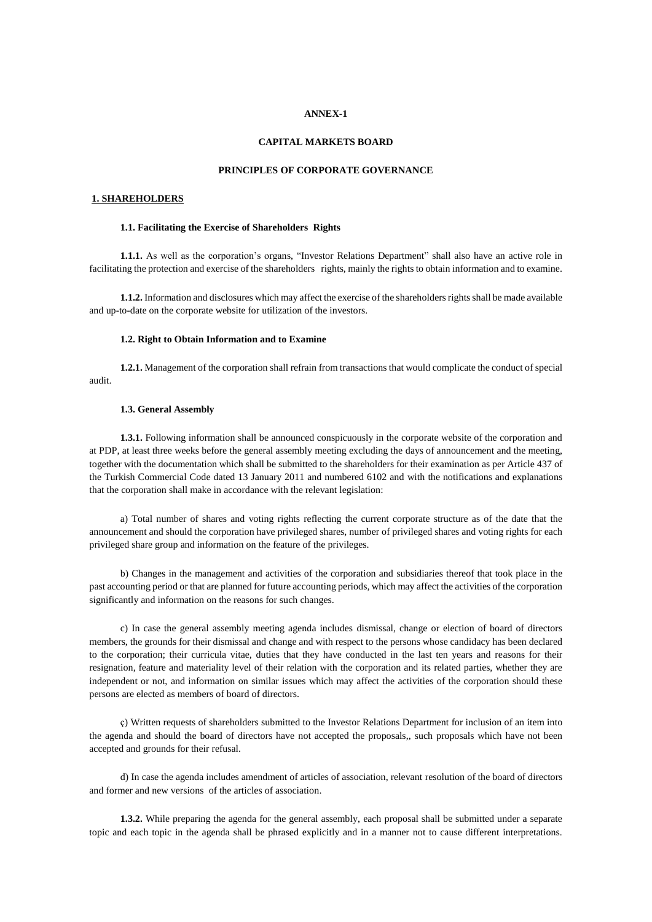### **ANNEX-1**

## **CAPITAL MARKETS BOARD**

## **PRINCIPLES OF CORPORATE GOVERNANCE**

### **1. SHAREHOLDERS**

### **1.1. Facilitating the Exercise of Shareholders Rights**

**1.1.1.** As well as the corporation's organs, "Investor Relations Department" shall also have an active role in facilitating the protection and exercise of the shareholders rights, mainly the rights to obtain information and to examine.

**1.1.2.** Information and disclosures which may affect the exercise of the shareholders rights shall be made available and up-to-date on the corporate website for utilization of the investors.

### **1.2. Right to Obtain Information and to Examine**

**1.2.1.** Management of the corporation shall refrain from transactions that would complicate the conduct of special audit.

### **1.3. General Assembly**

**1.3.1.** Following information shall be announced conspicuously in the corporate website of the corporation and at PDP, at least three weeks before the general assembly meeting excluding the days of announcement and the meeting, together with the documentation which shall be submitted to the shareholders for their examination as per Article 437 of the Turkish Commercial Code dated 13 January 2011 and numbered 6102 and with the notifications and explanations that the corporation shall make in accordance with the relevant legislation:

a) Total number of shares and voting rights reflecting the current corporate structure as of the date that the announcement and should the corporation have privileged shares, number of privileged shares and voting rights for each privileged share group and information on the feature of the privileges.

b) Changes in the management and activities of the corporation and subsidiaries thereof that took place in the past accounting period or that are planned for future accounting periods, which may affect the activities of the corporation significantly and information on the reasons for such changes.

c) In case the general assembly meeting agenda includes dismissal, change or election of board of directors members, the grounds for their dismissal and change and with respect to the persons whose candidacy has been declared to the corporation; their curricula vitae, duties that they have conducted in the last ten years and reasons for their resignation, feature and materiality level of their relation with the corporation and its related parties, whether they are independent or not, and information on similar issues which may affect the activities of the corporation should these persons are elected as members of board of directors.

ç) Written requests of shareholders submitted to the Investor Relations Department for inclusion of an item into the agenda and should the board of directors have not accepted the proposals,, such proposals which have not been accepted and grounds for their refusal.

d) In case the agenda includes amendment of articles of association, relevant resolution of the board of directors and former and new versions of the articles of association.

**1.3.2.** While preparing the agenda for the general assembly, each proposal shall be submitted under a separate topic and each topic in the agenda shall be phrased explicitly and in a manner not to cause different interpretations.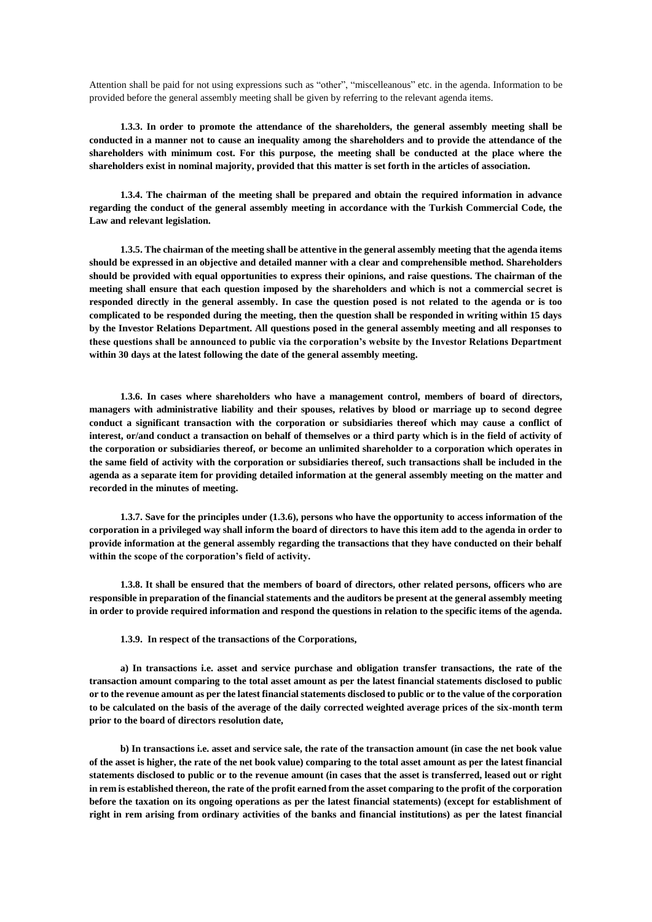Attention shall be paid for not using expressions such as "other", "miscelleanous" etc. in the agenda. Information to be provided before the general assembly meeting shall be given by referring to the relevant agenda items.

**1.3.3. In order to promote the attendance of the shareholders, the general assembly meeting shall be conducted in a manner not to cause an inequality among the shareholders and to provide the attendance of the shareholders with minimum cost. For this purpose, the meeting shall be conducted at the place where the shareholders exist in nominal majority, provided that this matter is set forth in the articles of association.**

**1.3.4. The chairman of the meeting shall be prepared and obtain the required information in advance regarding the conduct of the general assembly meeting in accordance with the Turkish Commercial Code, the Law and relevant legislation.**

**1.3.5. The chairman of the meeting shall be attentive in the general assembly meeting that the agenda items should be expressed in an objective and detailed manner with a clear and comprehensible method. Shareholders should be provided with equal opportunities to express their opinions, and raise questions. The chairman of the meeting shall ensure that each question imposed by the shareholders and which is not a commercial secret is responded directly in the general assembly. In case the question posed is not related to the agenda or is too complicated to be responded during the meeting, then the question shall be responded in writing within 15 days by the Investor Relations Department. All questions posed in the general assembly meeting and all responses to these questions shall be announced to public via the corporation's website by the Investor Relations Department within 30 days at the latest following the date of the general assembly meeting.**

**1.3.6. In cases where shareholders who have a management control, members of board of directors, managers with administrative liability and their spouses, relatives by blood or marriage up to second degree conduct a significant transaction with the corporation or subsidiaries thereof which may cause a conflict of interest, or/and conduct a transaction on behalf of themselves or a third party which is in the field of activity of the corporation or subsidiaries thereof, or become an unlimited shareholder to a corporation which operates in the same field of activity with the corporation or subsidiaries thereof, such transactions shall be included in the agenda as a separate item for providing detailed information at the general assembly meeting on the matter and recorded in the minutes of meeting.**

**1.3.7. Save for the principles under (1.3.6), persons who have the opportunity to access information of the corporation in a privileged way shall inform the board of directors to have this item add to the agenda in order to provide information at the general assembly regarding the transactions that they have conducted on their behalf within the scope of the corporation's field of activity.**

**1.3.8. It shall be ensured that the members of board of directors, other related persons, officers who are responsible in preparation of the financial statements and the auditors be present at the general assembly meeting in order to provide required information and respond the questions in relation to the specific items of the agenda.**

**1.3.9. In respect of the transactions of the Corporations,**

**a) In transactions i.e. asset and service purchase and obligation transfer transactions, the rate of the transaction amount comparing to the total asset amount as per the latest financial statements disclosed to public or to the revenue amount as per the latest financial statements disclosed to public or to the value of the corporation to be calculated on the basis of the average of the daily corrected weighted average prices of the six-month term prior to the board of directors resolution date,**

**b) In transactions i.e. asset and service sale, the rate of the transaction amount (in case the net book value of the asset is higher, the rate of the net book value) comparing to the total asset amount as per the latest financial statements disclosed to public or to the revenue amount (in cases that the asset is transferred, leased out or right in rem is established thereon, the rate of the profit earned from the asset comparing to the profit of the corporation before the taxation on its ongoing operations as per the latest financial statements) (except for establishment of right in rem arising from ordinary activities of the banks and financial institutions) as per the latest financial**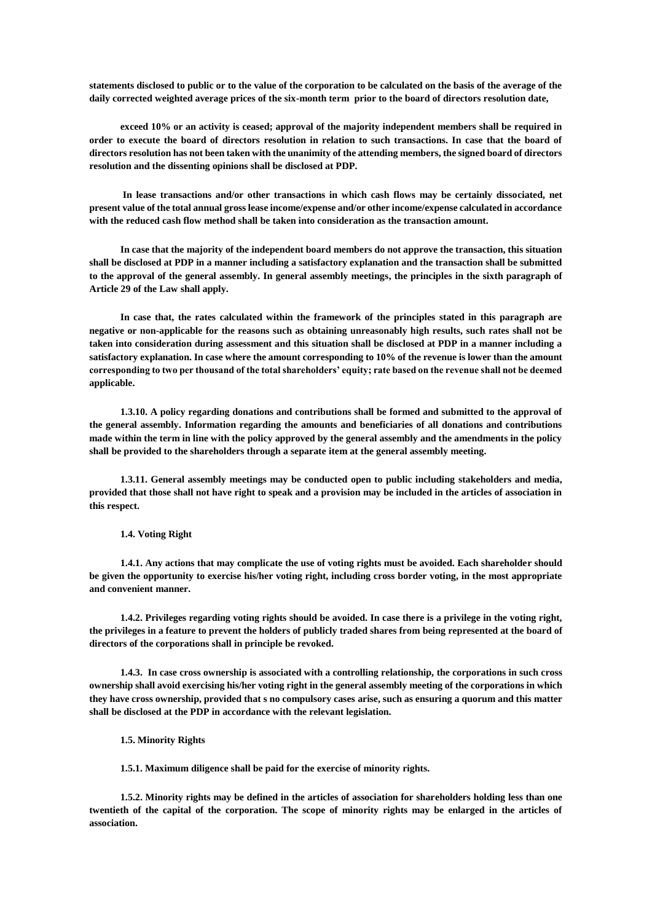**statements disclosed to public or to the value of the corporation to be calculated on the basis of the average of the daily corrected weighted average prices of the six-month term prior to the board of directors resolution date,**

**exceed 10% or an activity is ceased; approval of the majority independent members shall be required in order to execute the board of directors resolution in relation to such transactions. In case that the board of directors resolution has not been taken with the unanimity of the attending members, the signed board of directors resolution and the dissenting opinions shall be disclosed at PDP.** 

**In lease transactions and/or other transactions in which cash flows may be certainly dissociated, net present value of the total annual gross lease income/expense and/or other income/expense calculated in accordance with the reduced cash flow method shall be taken into consideration as the transaction amount.** 

**In case that the majority of the independent board members do not approve the transaction, this situation shall be disclosed at PDP in a manner including a satisfactory explanation and the transaction shall be submitted to the approval of the general assembly. In general assembly meetings, the principles in the sixth paragraph of Article 29 of the Law shall apply.**

**In case that, the rates calculated within the framework of the principles stated in this paragraph are negative or non-applicable for the reasons such as obtaining unreasonably high results, such rates shall not be taken into consideration during assessment and this situation shall be disclosed at PDP in a manner including a satisfactory explanation. In case where the amount corresponding to 10% of the revenue is lower than the amount corresponding to two per thousand of the total shareholders' equity; rate based on the revenue shall not be deemed applicable.**

**1.3.10. A policy regarding donations and contributions shall be formed and submitted to the approval of the general assembly. Information regarding the amounts and beneficiaries of all donations and contributions made within the term in line with the policy approved by the general assembly and the amendments in the policy shall be provided to the shareholders through a separate item at the general assembly meeting.**

**1.3.11. General assembly meetings may be conducted open to public including stakeholders and media, provided that those shall not have right to speak and a provision may be included in the articles of association in this respect.**

**1.4. Voting Right**

**1.4.1. Any actions that may complicate the use of voting rights must be avoided. Each shareholder should be given the opportunity to exercise his/her voting right, including cross border voting, in the most appropriate and convenient manner.**

**1.4.2. Privileges regarding voting rights should be avoided. In case there is a privilege in the voting right, the privileges in a feature to prevent the holders of publicly traded shares from being represented at the board of directors of the corporations shall in principle be revoked.**

**1.4.3. In case cross ownership is associated with a controlling relationship, the corporations in such cross ownership shall avoid exercising his/her voting right in the general assembly meeting of the corporations in which they have cross ownership, provided that s no compulsory cases arise, such as ensuring a quorum and this matter shall be disclosed at the PDP in accordance with the relevant legislation.**

**1.5. Minority Rights**

**1.5.1. Maximum diligence shall be paid for the exercise of minority rights.**

**1.5.2. Minority rights may be defined in the articles of association for shareholders holding less than one twentieth of the capital of the corporation. The scope of minority rights may be enlarged in the articles of association.**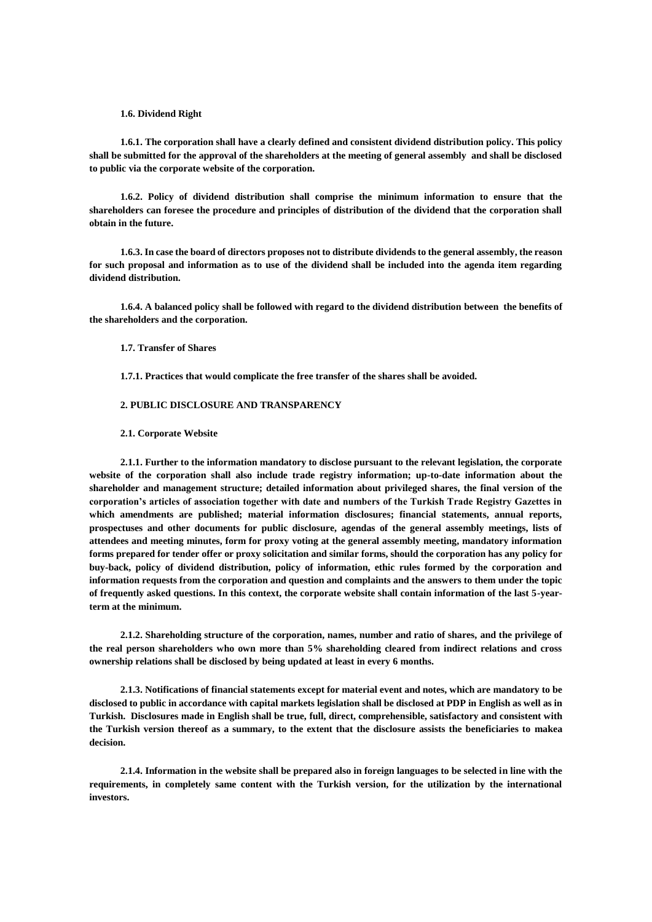### **1.6. Dividend Right**

**1.6.1. The corporation shall have a clearly defined and consistent dividend distribution policy. This policy shall be submitted for the approval of the shareholders at the meeting of general assembly and shall be disclosed to public via the corporate website of the corporation.**

**1.6.2. Policy of dividend distribution shall comprise the minimum information to ensure that the shareholders can foresee the procedure and principles of distribution of the dividend that the corporation shall obtain in the future.**

**1.6.3. In case the board of directors proposes not to distribute dividends to the general assembly, the reason for such proposal and information as to use of the dividend shall be included into the agenda item regarding dividend distribution.**

**1.6.4. A balanced policy shall be followed with regard to the dividend distribution between the benefits of the shareholders and the corporation.** 

### **1.7. Transfer of Shares**

**1.7.1. Practices that would complicate the free transfer of the shares shall be avoided.**

## **2. PUBLIC DISCLOSURE AND TRANSPARENCY**

#### **2.1. Corporate Website**

**2.1.1. Further to the information mandatory to disclose pursuant to the relevant legislation, the corporate website of the corporation shall also include trade registry information; up-to-date information about the shareholder and management structure; detailed information about privileged shares, the final version of the corporation's articles of association together with date and numbers of the Turkish Trade Registry Gazettes in which amendments are published; material information disclosures; financial statements, annual reports, prospectuses and other documents for public disclosure, agendas of the general assembly meetings, lists of attendees and meeting minutes, form for proxy voting at the general assembly meeting, mandatory information forms prepared for tender offer or proxy solicitation and similar forms, should the corporation has any policy for buy-back, policy of dividend distribution, policy of information, ethic rules formed by the corporation and information requests from the corporation and question and complaints and the answers to them under the topic of frequently asked questions. In this context, the corporate website shall contain information of the last 5-yearterm at the minimum.**

**2.1.2. Shareholding structure of the corporation, names, number and ratio of shares, and the privilege of the real person shareholders who own more than 5% shareholding cleared from indirect relations and cross ownership relations shall be disclosed by being updated at least in every 6 months.**

**2.1.3. Notifications of financial statements except for material event and notes, which are mandatory to be disclosed to public in accordance with capital markets legislation shall be disclosed at PDP in English as well as in Turkish. Disclosures made in English shall be true, full, direct, comprehensible, satisfactory and consistent with the Turkish version thereof as a summary, to the extent that the disclosure assists the beneficiaries to makea decision.** 

**2.1.4. Information in the website shall be prepared also in foreign languages to be selected in line with the requirements, in completely same content with the Turkish version, for the utilization by the international investors.**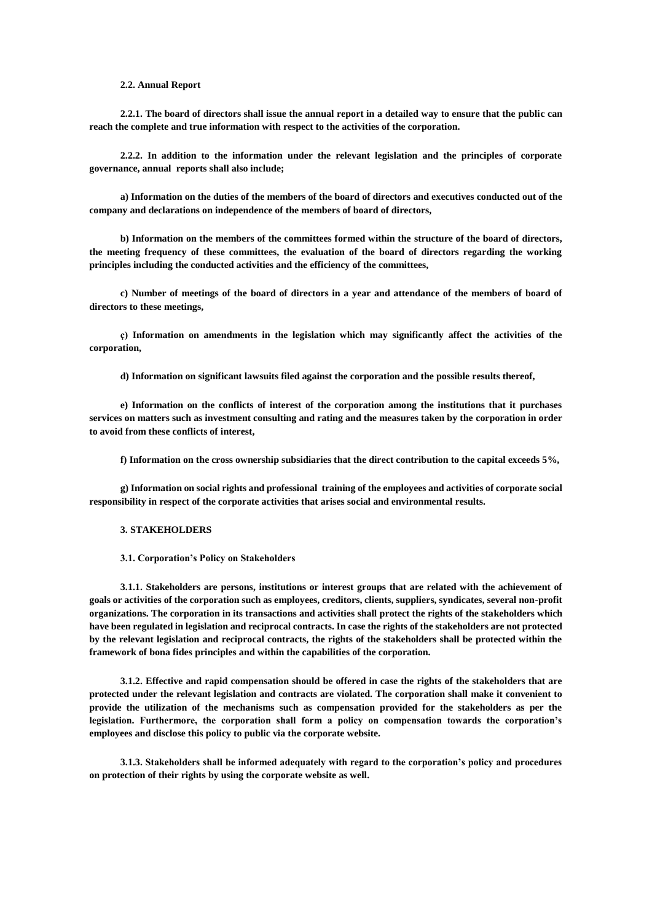#### **2.2. Annual Report**

**2.2.1. The board of directors shall issue the annual report in a detailed way to ensure that the public can reach the complete and true information with respect to the activities of the corporation.**

**2.2.2. In addition to the information under the relevant legislation and the principles of corporate governance, annual reports shall also include;**

**a) Information on the duties of the members of the board of directors and executives conducted out of the company and declarations on independence of the members of board of directors,**

**b) Information on the members of the committees formed within the structure of the board of directors, the meeting frequency of these committees, the evaluation of the board of directors regarding the working principles including the conducted activities and the efficiency of the committees,**

**c) Number of meetings of the board of directors in a year and attendance of the members of board of directors to these meetings,**

**ç) Information on amendments in the legislation which may significantly affect the activities of the corporation,** 

**d) Information on significant lawsuits filed against the corporation and the possible results thereof,**

**e) Information on the conflicts of interest of the corporation among the institutions that it purchases services on matters such as investment consulting and rating and the measures taken by the corporation in order to avoid from these conflicts of interest,**

**f) Information on the cross ownership subsidiaries that the direct contribution to the capital exceeds 5%,**

**g) Information on social rights and professional training of the employees and activities of corporate social responsibility in respect of the corporate activities that arises social and environmental results.**

### **3. STAKEHOLDERS**

**3.1. Corporation's Policy on Stakeholders**

**3.1.1. Stakeholders are persons, institutions or interest groups that are related with the achievement of goals or activities of the corporation such as employees, creditors, clients, suppliers, syndicates, several non-profit organizations. The corporation in its transactions and activities shall protect the rights of the stakeholders which have been regulated in legislation and reciprocal contracts. In case the rights of the stakeholders are not protected by the relevant legislation and reciprocal contracts, the rights of the stakeholders shall be protected within the framework of bona fides principles and within the capabilities of the corporation.**

**3.1.2. Effective and rapid compensation should be offered in case the rights of the stakeholders that are protected under the relevant legislation and contracts are violated. The corporation shall make it convenient to provide the utilization of the mechanisms such as compensation provided for the stakeholders as per the legislation. Furthermore, the corporation shall form a policy on compensation towards the corporation's employees and disclose this policy to public via the corporate website.**

**3.1.3. Stakeholders shall be informed adequately with regard to the corporation's policy and procedures on protection of their rights by using the corporate website as well.**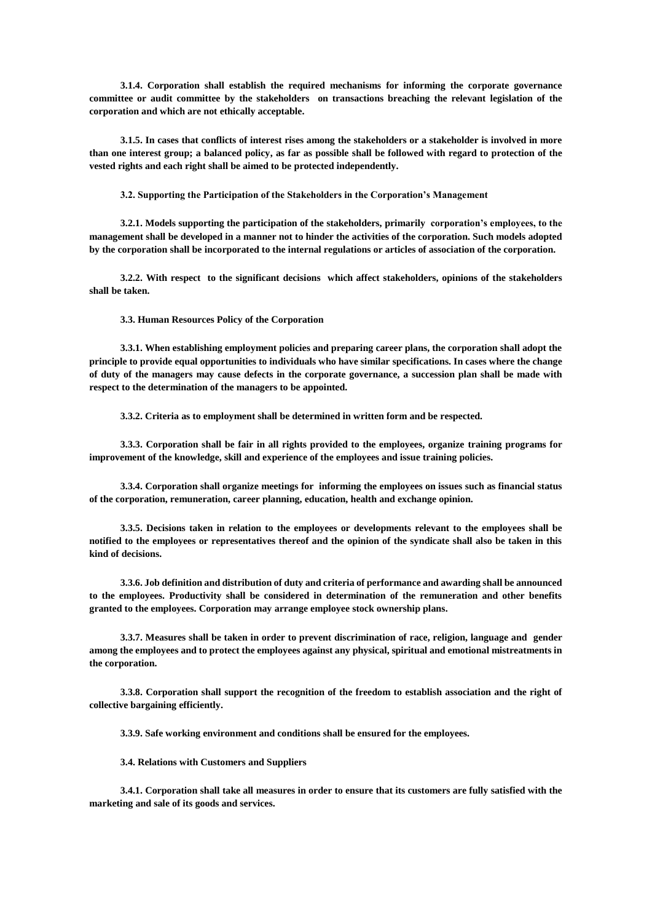**3.1.4. Corporation shall establish the required mechanisms for informing the corporate governance committee or audit committee by the stakeholders on transactions breaching the relevant legislation of the corporation and which are not ethically acceptable.**

**3.1.5. In cases that conflicts of interest rises among the stakeholders or a stakeholder is involved in more than one interest group; a balanced policy, as far as possible shall be followed with regard to protection of the vested rights and each right shall be aimed to be protected independently.**

**3.2. Supporting the Participation of the Stakeholders in the Corporation's Management**

**3.2.1. Models supporting the participation of the stakeholders, primarily corporation's employees, to the management shall be developed in a manner not to hinder the activities of the corporation. Such models adopted by the corporation shall be incorporated to the internal regulations or articles of association of the corporation.**

**3.2.2. With respect to the significant decisions which affect stakeholders, opinions of the stakeholders shall be taken.**

**3.3. Human Resources Policy of the Corporation**

**3.3.1. When establishing employment policies and preparing career plans, the corporation shall adopt the principle to provide equal opportunities to individuals who have similar specifications. In cases where the change of duty of the managers may cause defects in the corporate governance, a succession plan shall be made with respect to the determination of the managers to be appointed.** 

**3.3.2. Criteria as to employment shall be determined in written form and be respected.**

**3.3.3. Corporation shall be fair in all rights provided to the employees, organize training programs for improvement of the knowledge, skill and experience of the employees and issue training policies.**

**3.3.4. Corporation shall organize meetings for informing the employees on issues such as financial status of the corporation, remuneration, career planning, education, health and exchange opinion.** 

**3.3.5. Decisions taken in relation to the employees or developments relevant to the employees shall be notified to the employees or representatives thereof and the opinion of the syndicate shall also be taken in this kind of decisions.**

**3.3.6. Job definition and distribution of duty and criteria of performance and awarding shall be announced to the employees. Productivity shall be considered in determination of the remuneration and other benefits granted to the employees. Corporation may arrange employee stock ownership plans.** 

**3.3.7. Measures shall be taken in order to prevent discrimination of race, religion, language and gender among the employees and to protect the employees against any physical, spiritual and emotional mistreatments in the corporation.**

**3.3.8. Corporation shall support the recognition of the freedom to establish association and the right of collective bargaining efficiently.**

**3.3.9. Safe working environment and conditions shall be ensured for the employees.**

**3.4. Relations with Customers and Suppliers**

**3.4.1. Corporation shall take all measures in order to ensure that its customers are fully satisfied with the marketing and sale of its goods and services.**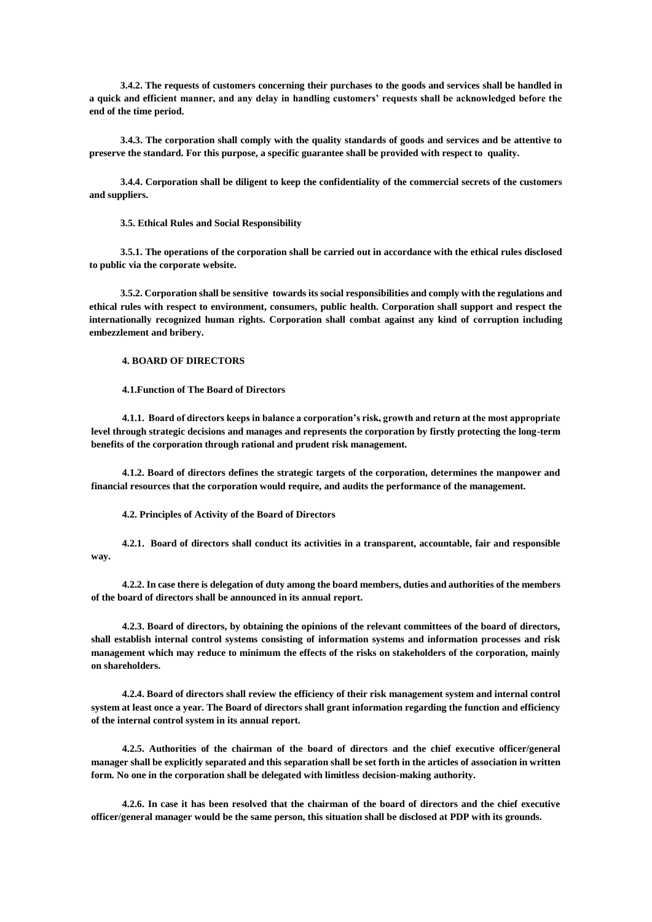**3.4.2. The requests of customers concerning their purchases to the goods and services shall be handled in a quick and efficient manner, and any delay in handling customers' requests shall be acknowledged before the end of the time period.**

**3.4.3. The corporation shall comply with the quality standards of goods and services and be attentive to preserve the standard. For this purpose, a specific guarantee shall be provided with respect to quality.**

**3.4.4. Corporation shall be diligent to keep the confidentiality of the commercial secrets of the customers and suppliers.** 

**3.5. Ethical Rules and Social Responsibility**

**3.5.1. The operations of the corporation shall be carried out in accordance with the ethical rules disclosed to public via the corporate website.**

**3.5.2. Corporation shall be sensitive towards its social responsibilities and comply with the regulations and ethical rules with respect to environment, consumers, public health. Corporation shall support and respect the internationally recognized human rights. Corporation shall combat against any kind of corruption including embezzlement and bribery.**

### **4. BOARD OF DIRECTORS**

### **4.1.Function of The Board of Directors**

**4.1.1. Board of directors keeps in balance a corporation's risk, growth and return at the most appropriate level through strategic decisions and manages and represents the corporation by firstly protecting the long-term benefits of the corporation through rational and prudent risk management.**

**4.1.2. Board of directors defines the strategic targets of the corporation, determines the manpower and financial resources that the corporation would require, and audits the performance of the management.**

**4.2. Principles of Activity of the Board of Directors**

**4.2.1. Board of directors shall conduct its activities in a transparent, accountable, fair and responsible way.**

**4.2.2. In case there is delegation of duty among the board members, duties and authorities of the members of the board of directors shall be announced in its annual report.**

**4.2.3. Board of directors, by obtaining the opinions of the relevant committees of the board of directors, shall establish internal control systems consisting of information systems and information processes and risk management which may reduce to minimum the effects of the risks on stakeholders of the corporation, mainly on shareholders.**

**4.2.4. Board of directors shall review the efficiency of their risk management system and internal control system at least once a year. The Board of directors shall grant information regarding the function and efficiency of the internal control system in its annual report.**

**4.2.5. Authorities of the chairman of the board of directors and the chief executive officer/general manager shall be explicitly separated and this separation shall be set forth in the articles of association in written form. No one in the corporation shall be delegated with limitless decision-making authority.**

**4.2.6. In case it has been resolved that the chairman of the board of directors and the chief executive officer/general manager would be the same person, this situation shall be disclosed at PDP with its grounds.**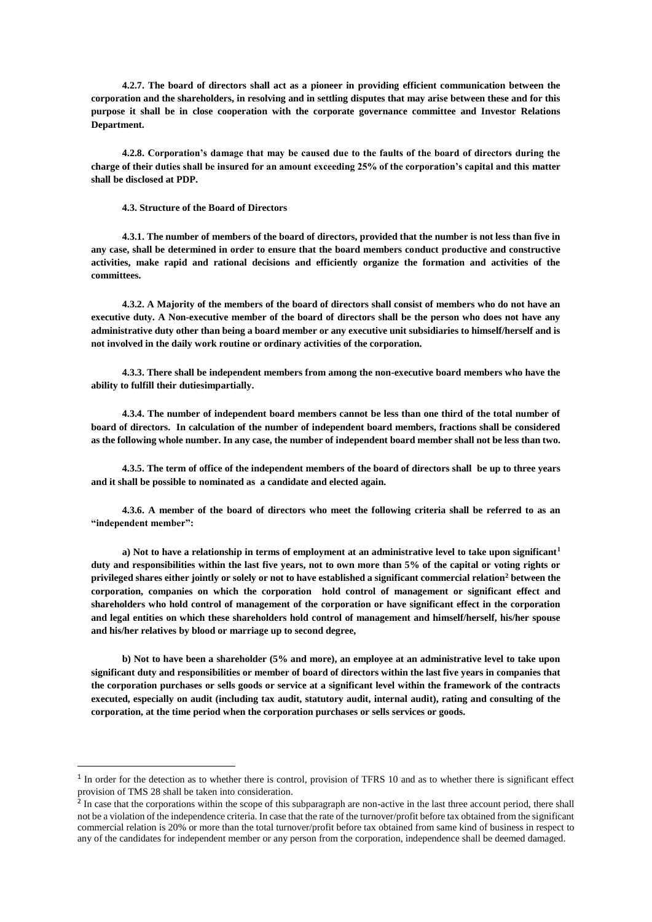**4.2.7. The board of directors shall act as a pioneer in providing efficient communication between the corporation and the shareholders, in resolving and in settling disputes that may arise between these and for this purpose it shall be in close cooperation with the corporate governance committee and Investor Relations Department.**

**4.2.8. Corporation's damage that may be caused due to the faults of the board of directors during the charge of their duties shall be insured for an amount exceeding 25% of the corporation's capital and this matter shall be disclosed at PDP.**

**4.3. Structure of the Board of Directors**

**.** 

**4.3.1. The number of members of the board of directors, provided that the number is not less than five in any case, shall be determined in order to ensure that the board members conduct productive and constructive activities, make rapid and rational decisions and efficiently organize the formation and activities of the committees.**

**4.3.2. A Majority of the members of the board of directors shall consist of members who do not have an executive duty. A Non-executive member of the board of directors shall be the person who does not have any administrative duty other than being a board member or any executive unit subsidiaries to himself/herself and is not involved in the daily work routine or ordinary activities of the corporation.**

**4.3.3. There shall be independent members from among the non-executive board members who have the ability to fulfill their dutiesimpartially.**

**4.3.4. The number of independent board members cannot be less than one third of the total number of board of directors. In calculation of the number of independent board members, fractions shall be considered as the following whole number. In any case, the number of independent board member shall not be less than two.**

**4.3.5. The term of office of the independent members of the board of directors shall be up to three years and it shall be possible to nominated as a candidate and elected again.**

**4.3.6. A member of the board of directors who meet the following criteria shall be referred to as an "independent member":**

**a) Not to have a relationship in terms of employment at an administrative level to take upon significant<sup>1</sup> duty and responsibilities within the last five years, not to own more than 5% of the capital or voting rights or privileged shares either jointly or solely or not to have established a significant commercial relation<sup>2</sup> between the corporation, companies on which the corporation hold control of management or significant effect and shareholders who hold control of management of the corporation or have significant effect in the corporation and legal entities on which these shareholders hold control of management and himself/herself, his/her spouse and his/her relatives by blood or marriage up to second degree,**

**b) Not to have been a shareholder (5% and more), an employee at an administrative level to take upon significant duty and responsibilities or member of board of directors within the last five years in companies that the corporation purchases or sells goods or service at a significant level within the framework of the contracts executed, especially on audit (including tax audit, statutory audit, internal audit), rating and consulting of the corporation, at the time period when the corporation purchases or sells services or goods.**

 $<sup>1</sup>$  In order for the detection as to whether there is control, provision of TFRS 10 and as to whether there is significant effect</sup> provision of TMS 28 shall be taken into consideration.

<sup>&</sup>lt;sup>2</sup> In case that the corporations within the scope of this subparagraph are non-active in the last three account period, there shall not be a violation of the independence criteria. In case that the rate of the turnover/profit before tax obtained from the significant commercial relation is 20% or more than the total turnover/profit before tax obtained from same kind of business in respect to any of the candidates for independent member or any person from the corporation, independence shall be deemed damaged.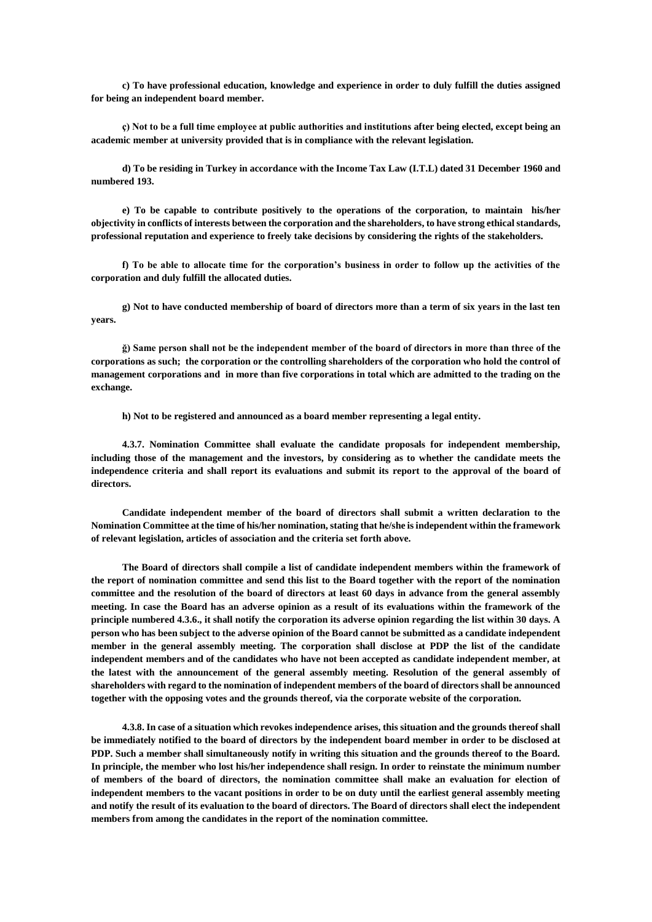**c) To have professional education, knowledge and experience in order to duly fulfill the duties assigned for being an independent board member.**

**ç) Not to be a full time employee at public authorities and institutions after being elected, except being an academic member at university provided that is in compliance with the relevant legislation.**

**d) To be residing in Turkey in accordance with the Income Tax Law (I.T.L) dated 31 December 1960 and numbered 193.**

**e) To be capable to contribute positively to the operations of the corporation, to maintain his/her objectivity in conflicts of interests between the corporation and the shareholders, to have strong ethical standards, professional reputation and experience to freely take decisions by considering the rights of the stakeholders.**

**f) To be able to allocate time for the corporation's business in order to follow up the activities of the corporation and duly fulfill the allocated duties.**

**g) Not to have conducted membership of board of directors more than a term of six years in the last ten years.**

**ğ) Same person shall not be the independent member of the board of directors in more than three of the corporations as such; the corporation or the controlling shareholders of the corporation who hold the control of management corporations and in more than five corporations in total which are admitted to the trading on the exchange.**

**h) Not to be registered and announced as a board member representing a legal entity.**

**4.3.7. Nomination Committee shall evaluate the candidate proposals for independent membership, including those of the management and the investors, by considering as to whether the candidate meets the independence criteria and shall report its evaluations and submit its report to the approval of the board of directors.**

**Candidate independent member of the board of directors shall submit a written declaration to the Nomination Committee at the time of his/her nomination, stating that he/she is independent within the framework of relevant legislation, articles of association and the criteria set forth above.**

**The Board of directors shall compile a list of candidate independent members within the framework of the report of nomination committee and send this list to the Board together with the report of the nomination committee and the resolution of the board of directors at least 60 days in advance from the general assembly meeting. In case the Board has an adverse opinion as a result of its evaluations within the framework of the principle numbered 4.3.6., it shall notify the corporation its adverse opinion regarding the list within 30 days. A person who has been subject to the adverse opinion of the Board cannot be submitted as a candidate independent member in the general assembly meeting. The corporation shall disclose at PDP the list of the candidate independent members and of the candidates who have not been accepted as candidate independent member, at the latest with the announcement of the general assembly meeting. Resolution of the general assembly of shareholders with regard to the nomination of independent members of the board of directors shall be announced together with the opposing votes and the grounds thereof, via the corporate website of the corporation.**

**4.3.8. In case of a situation which revokes independence arises, this situation and the grounds thereof shall be immediately notified to the board of directors by the independent board member in order to be disclosed at PDP. Such a member shall simultaneously notify in writing this situation and the grounds thereof to the Board. In principle, the member who lost his/her independence shall resign. In order to reinstate the minimum number of members of the board of directors, the nomination committee shall make an evaluation for election of independent members to the vacant positions in order to be on duty until the earliest general assembly meeting and notify the result of its evaluation to the board of directors. The Board of directors shall elect the independent members from among the candidates in the report of the nomination committee.**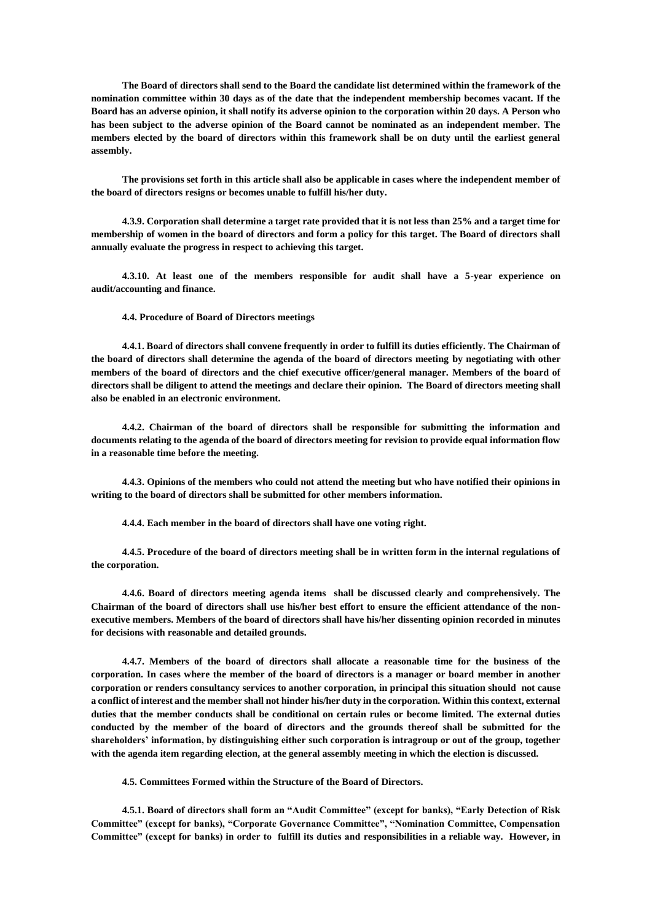**The Board of directors shall send to the Board the candidate list determined within the framework of the nomination committee within 30 days as of the date that the independent membership becomes vacant. If the Board has an adverse opinion, it shall notify its adverse opinion to the corporation within 20 days. A Person who has been subject to the adverse opinion of the Board cannot be nominated as an independent member. The members elected by the board of directors within this framework shall be on duty until the earliest general assembly.**

**The provisions set forth in this article shall also be applicable in cases where the independent member of the board of directors resigns or becomes unable to fulfill his/her duty.**

**4.3.9. Corporation shall determine a target rate provided that it is not less than 25% and a target time for membership of women in the board of directors and form a policy for this target. The Board of directors shall annually evaluate the progress in respect to achieving this target.**

**4.3.10. At least one of the members responsible for audit shall have a 5-year experience on audit/accounting and finance.**

**4.4. Procedure of Board of Directors meetings**

**4.4.1. Board of directors shall convene frequently in order to fulfill its duties efficiently. The Chairman of the board of directors shall determine the agenda of the board of directors meeting by negotiating with other members of the board of directors and the chief executive officer/general manager. Members of the board of directors shall be diligent to attend the meetings and declare their opinion. The Board of directors meeting shall also be enabled in an electronic environment.**

**4.4.2. Chairman of the board of directors shall be responsible for submitting the information and documents relating to the agenda of the board of directors meeting for revision to provide equal information flow in a reasonable time before the meeting.**

**4.4.3. Opinions of the members who could not attend the meeting but who have notified their opinions in writing to the board of directors shall be submitted for other members information.**

**4.4.4. Each member in the board of directors shall have one voting right.**

**4.4.5. Procedure of the board of directors meeting shall be in written form in the internal regulations of the corporation.**

**4.4.6. Board of directors meeting agenda items shall be discussed clearly and comprehensively. The Chairman of the board of directors shall use his/her best effort to ensure the efficient attendance of the nonexecutive members. Members of the board of directors shall have his/her dissenting opinion recorded in minutes for decisions with reasonable and detailed grounds.**

**4.4.7. Members of the board of directors shall allocate a reasonable time for the business of the corporation. In cases where the member of the board of directors is a manager or board member in another corporation or renders consultancy services to another corporation, in principal this situation should not cause a conflict of interest and the member shall not hinder his/her duty in the corporation. Within this context, external duties that the member conducts shall be conditional on certain rules or become limited. The external duties conducted by the member of the board of directors and the grounds thereof shall be submitted for the shareholders' information, by distinguishing either such corporation is intragroup or out of the group, together with the agenda item regarding election, at the general assembly meeting in which the election is discussed.** 

**4.5. Committees Formed within the Structure of the Board of Directors.**

**4.5.1. Board of directors shall form an "Audit Committee" (except for banks), "Early Detection of Risk Committee" (except for banks), "Corporate Governance Committee", "Nomination Committee, Compensation Committee" (except for banks) in order to fulfill its duties and responsibilities in a reliable way. However, in**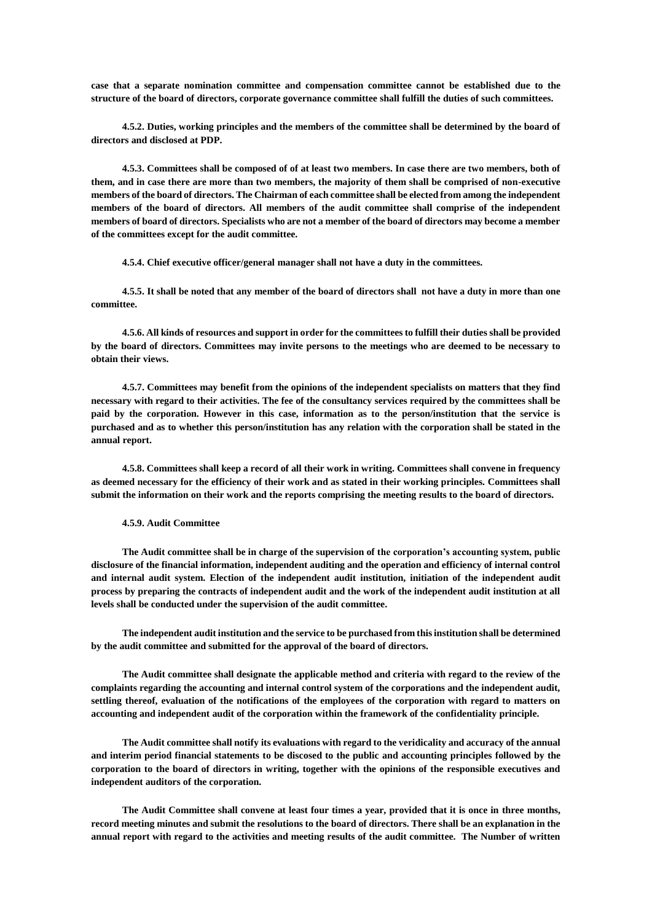**case that a separate nomination committee and compensation committee cannot be established due to the structure of the board of directors, corporate governance committee shall fulfill the duties of such committees.**

**4.5.2. Duties, working principles and the members of the committee shall be determined by the board of directors and disclosed at PDP.**

**4.5.3. Committees shall be composed of of at least two members. In case there are two members, both of them, and in case there are more than two members, the majority of them shall be comprised of non-executive members of the board of directors. The Chairman of each committee shall be elected from among the independent members of the board of directors. All members of the audit committee shall comprise of the independent members of board of directors. Specialists who are not a member of the board of directors may become a member of the committees except for the audit committee.**

**4.5.4. Chief executive officer/general manager shall not have a duty in the committees.**

**4.5.5. It shall be noted that any member of the board of directors shall not have a duty in more than one committee.**

**4.5.6. All kinds of resources and support in order for the committees to fulfill their duties shall be provided by the board of directors. Committees may invite persons to the meetings who are deemed to be necessary to obtain their views.** 

**4.5.7. Committees may benefit from the opinions of the independent specialists on matters that they find necessary with regard to their activities. The fee of the consultancy services required by the committees shall be paid by the corporation. However in this case, information as to the person/institution that the service is purchased and as to whether this person/institution has any relation with the corporation shall be stated in the annual report.**

**4.5.8. Committees shall keep a record of all their work in writing. Committees shall convene in frequency as deemed necessary for the efficiency of their work and as stated in their working principles. Committees shall submit the information on their work and the reports comprising the meeting results to the board of directors.** 

**4.5.9. Audit Committee**

**The Audit committee shall be in charge of the supervision of the corporation's accounting system, public disclosure of the financial information, independent auditing and the operation and efficiency of internal control**  and internal audit system. Election of the independent audit institution, initiation of the independent audit **process by preparing the contracts of independent audit and the work of the independent audit institution at all levels shall be conducted under the supervision of the audit committee.**

**The independent audit institution and the service to be purchased from this institution shall be determined by the audit committee and submitted for the approval of the board of directors.**

**The Audit committee shall designate the applicable method and criteria with regard to the review of the complaints regarding the accounting and internal control system of the corporations and the independent audit, settling thereof, evaluation of the notifications of the employees of the corporation with regard to matters on accounting and independent audit of the corporation within the framework of the confidentiality principle.**

**The Audit committee shall notify its evaluations with regard to the veridicality and accuracy of the annual and interim period financial statements to be discosed to the public and accounting principles followed by the corporation to the board of directors in writing, together with the opinions of the responsible executives and independent auditors of the corporation.**

**The Audit Committee shall convene at least four times a year, provided that it is once in three months, record meeting minutes and submit the resolutions to the board of directors. There shall be an explanation in the annual report with regard to the activities and meeting results of the audit committee. The Number of written**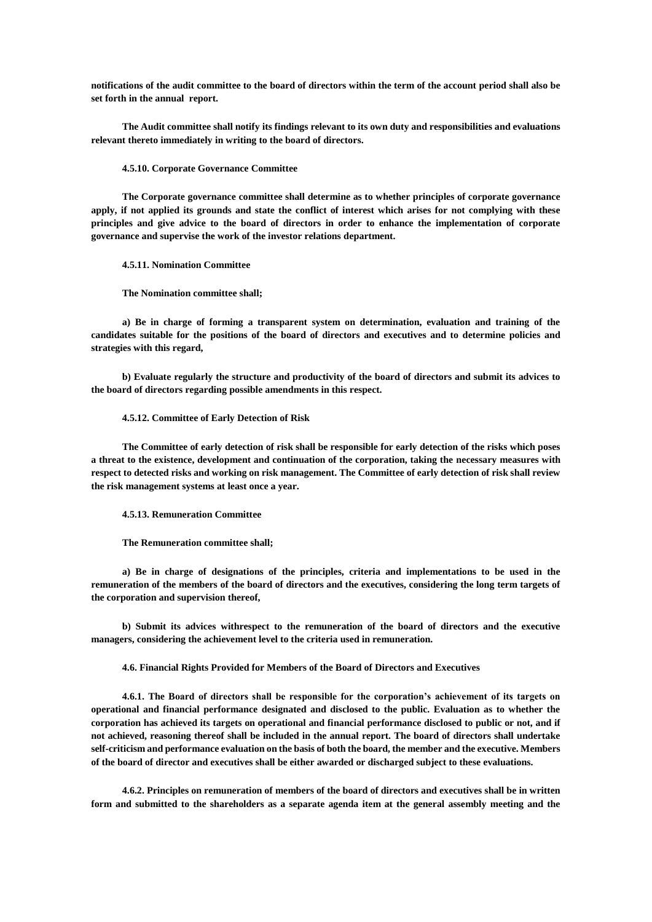**notifications of the audit committee to the board of directors within the term of the account period shall also be set forth in the annual report.**

**The Audit committee shall notify its findings relevant to its own duty and responsibilities and evaluations relevant thereto immediately in writing to the board of directors.**

### **4.5.10. Corporate Governance Committee**

**The Corporate governance committee shall determine as to whether principles of corporate governance apply, if not applied its grounds and state the conflict of interest which arises for not complying with these principles and give advice to the board of directors in order to enhance the implementation of corporate governance and supervise the work of the investor relations department.**

**4.5.11. Nomination Committee**

**The Nomination committee shall;**

**a) Be in charge of forming a transparent system on determination, evaluation and training of the candidates suitable for the positions of the board of directors and executives and to determine policies and strategies with this regard,**

**b) Evaluate regularly the structure and productivity of the board of directors and submit its advices to the board of directors regarding possible amendments in this respect.**

### **4.5.12. Committee of Early Detection of Risk**

**The Committee of early detection of risk shall be responsible for early detection of the risks which poses a threat to the existence, development and continuation of the corporation, taking the necessary measures with respect to detected risks and working on risk management. The Committee of early detection of risk shall review the risk management systems at least once a year.**

**4.5.13. Remuneration Committee**

**The Remuneration committee shall;**

**a) Be in charge of designations of the principles, criteria and implementations to be used in the remuneration of the members of the board of directors and the executives, considering the long term targets of the corporation and supervision thereof,**

**b) Submit its advices withrespect to the remuneration of the board of directors and the executive managers, considering the achievement level to the criteria used in remuneration.**

**4.6. Financial Rights Provided for Members of the Board of Directors and Executives**

**4.6.1. The Board of directors shall be responsible for the corporation's achievement of its targets on operational and financial performance designated and disclosed to the public. Evaluation as to whether the corporation has achieved its targets on operational and financial performance disclosed to public or not, and if not achieved, reasoning thereof shall be included in the annual report. The board of directors shall undertake self-criticism and performance evaluation on the basis of both the board, the member and the executive. Members of the board of director and executives shall be either awarded or discharged subject to these evaluations.** 

**4.6.2. Principles on remuneration of members of the board of directors and executives shall be in written form and submitted to the shareholders as a separate agenda item at the general assembly meeting and the**